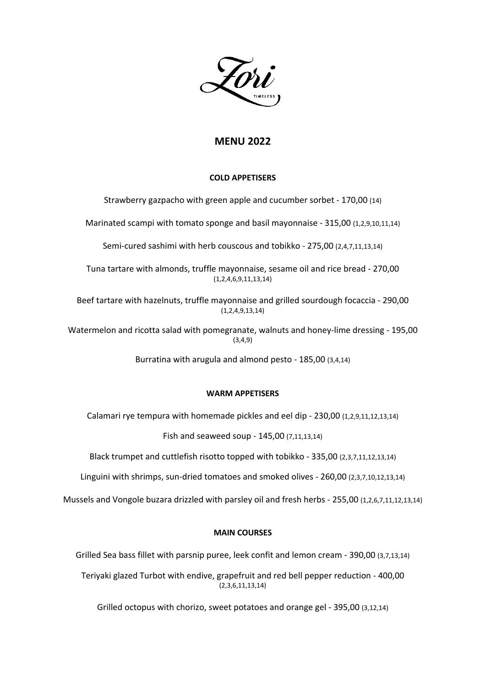# **MENU 2022**

## **COLD APPETISERS**

Strawberry gazpacho with green apple and cucumber sorbet - 170,00 (14)

Marinated scampi with tomato sponge and basil mayonnaise - 315,00 (1,2,9,10,11,14)

Semi-cured sashimi with herb couscous and tobikko - 275,00 (2,4,7,11,13,14)

Tuna tartare with almonds, truffle mayonnaise, sesame oil and rice bread - 270,00 (1,2,4,6,9,11,13,14)

Beef tartare with hazelnuts, truffle mayonnaise and grilled sourdough focaccia - 290,00 (1,2,4,9,13,14)

Watermelon and ricotta salad with pomegranate, walnuts and honey-lime dressing - 195,00 (3,4,9)

Burratina with arugula and almond pesto - 185,00 (3,4,14)

### **WARM APPETISERS**

Calamari rye tempura with homemade pickles and eel dip - 230,00 (1,2,9,11,12,13,14)

Fish and seaweed soup - 145,00 (7,11,13,14)

Black trumpet and cuttlefish risotto topped with tobikko - 335,00 (2,3,7,11,12,13,14)

Linguini with shrimps, sun-dried tomatoes and smoked olives - 260,00 (2,3,7,10,12,13,14)

Mussels and Vongole buzara drizzled with parsley oil and fresh herbs - 255,00 (1,2,6,7,11,12,13,14)

## **MAIN COURSES**

Grilled Sea bass fillet with parsnip puree, leek confit and lemon cream - 390,00 (3,7,13,14)

Teriyaki glazed Turbot with endive, grapefruit and red bell pepper reduction - 400,00 (2,3,6,11,13,14)

Grilled octopus with chorizo, sweet potatoes and orange gel - 395,00 (3,12,14)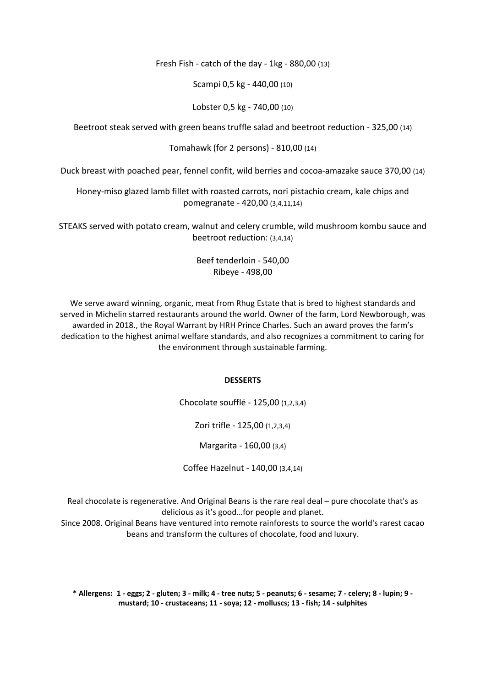Fresh Fish - catch of the day - 1kg - 880,00 (13)

Scampi 0,5 kg - 440,00 (10)

Lobster 0,5 kg - 740,00 (10)

Beetroot steak served with green beans truffle salad and beetroot reduction - 325,00 (14)

Tomahawk (for 2 persons) - 810,00 (14)

Duck breast with poached pear, fennel confit, wild berries and cocoa-amazake sauce 370,00 (14)

Honey-miso glazed lamb fillet with roasted carrots, nori pistachio cream, kale chips and pomegranate - 420,00 (3,4,11,14)

STEAKS served with potato cream, walnut and celery crumble, wild mushroom kombu sauce and beetroot reduction: (3,4,14)

> Beef tenderloin - 540,00 Ribeye - 498,00

We serve award winning, organic, meat from Rhug Estate that is bred to highest standards and served in Michelin starred restaurants around the world. Owner of the farm, Lord Newborough, was awarded in 2018., the Royal Warrant by HRH Prince Charles. Such an award proves the farm's dedication to the highest animal welfare standards, and also recognizes a commitment to caring for the environment through sustainable farming.

#### **DESSERTS**

Chocolate soufflé - 125,00 (1,2,3,4)

Zori trifle - 125,00 (1,2,3,4)

Margarita - 160,00 (3,4)

Coffee Hazelnut - 140,00 (3,4,14)

Real chocolate is regenerative. And Original Beans is the rare real deal – pure chocolate that's as delicious as it's good…for people and planet.

Since 2008. Original Beans have ventured into remote rainforests to source the world's rarest cacao beans and transform the cultures of chocolate, food and luxury.

\* Allergens: 1 - eggs; 2 - gluten; 3 - milk; 4 - tree nuts; 5 - peanuts; 6 - sesame; 7 - celery; 8 - lupin; 9 **mustard; 10 - crustaceans; 11 - soya; 12 - molluscs; 13 - fish; 14 - sulphites**